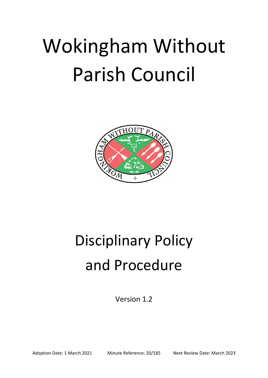# Wokingham Without Parish Council



# Disciplinary Policy and Procedure

Version 1.2

Adoption Date: 1 March 2021 Minute Reference: 20/185 Next Review Date: March 2023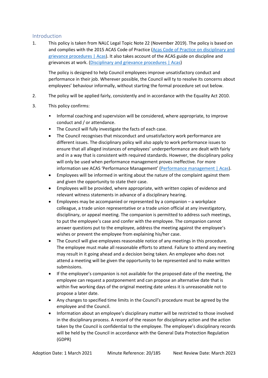# Introduction

1. This policy is taken from NALC Legal Topic Note 22 (November 2019). The policy is based on and complies with the 2015 ACAS Code of Practice [\(Acas Code of Practice on disciplinary and](https://www.acas.org.uk/acas-code-of-practice-on-disciplinary-and-grievance-procedures)  [grievance procedures | Acas\)](https://www.acas.org.uk/acas-code-of-practice-on-disciplinary-and-grievance-procedures). It also takes account of the ACAS guide on discipline and grievances at work. [\(Disciplinary and grievance procedures | Acas\)](https://www.acas.org.uk/disciplinary-and-grievance-procedures)

The policy is designed to help Council employees improve unsatisfactory conduct and performance in their job. Wherever possible, the Council will ty to resolve its concerns about employees' behaviour informally, without starting the formal procedure set out below.

- 2. The policy will be applied fairly, consistently and in accordance with the Equality Act 2010.
- 3. This policy confirms:
	- Informal coaching and supervision will be considered, where appropriate, to improve conduct and / or attendance.
	- The Council will fully investigate the facts of each case.
	- The Council recognises that misconduct and unsatisfactory work performance are different issues. The disciplinary policy will also apply to work performance issues to ensure that all alleged instances of employees' underperformance are dealt with fairly and in a way that is consistent with required standards. However, the disciplinary policy will only be used when performance management proves ineffective. For more information see ACAS 'Performance Management' ([Performance management | Acas\)](https://archive.acas.org.uk/index.aspx?articleid=6608).
	- Employees will be informed in writing about the nature of the complaint against them and given the opportunity to state their case.
	- Employees will be provided, where appropriate, with written copies of evidence and relevant witness statements in advance of a disciplinary hearing.
	- Employees may be accompanied or represented by a companion a workplace colleague, a trade union representative or a trade union official at any investigatory, disciplinary, or appeal meeting. The companion is permitted to address such meetings, to put the employee's case and confer with the employee. The companion cannot answer questions put to the employee, address the meeting against the employee's wishes or prevent the employee from explaining his/her case.
	- The Council will give employees reasonable notice of any meetings in this procedure. The employee must make all reasonable efforts to attend. Failure to attend any meeting may result in it going ahead and a decision being taken. An employee who does not attend a meeting will be given the opportunity to be represented and to make written submissions.
	- If the employee's companion is not available for the proposed date of the meeting, the employee can request a postponement and can propose an alternative date that is within five working days of the original meeting date unless it is unreasonable not to propose a later date.
	- Any changes to specified time limits in the Council's procedure must be agreed by the employee and the Council.
	- Information about an employee's disciplinary matter will be restricted to those involved in the disciplinary process. A record of the reason for disciplinary action and the action taken by the Council is confidential to the employee. The employee's disciplinary records will be held by the Council in accordance with the General Data Protection Regulation (GDPR)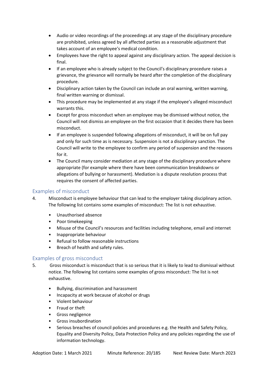- Audio or video recordings of the proceedings at any stage of the disciplinary procedure are prohibited, unless agreed by all affected parties as a reasonable adjustment that takes account of an employee's medical condition.
- Employees have the right to appeal against any disciplinary action. The appeal decision is final.
- If an employee who is already subject to the Council's disciplinary procedure raises a grievance, the grievance will normally be heard after the completion of the disciplinary procedure.
- Disciplinary action taken by the Council can include an oral warning, written warning, final written warning or dismissal.
- This procedure may be implemented at any stage if the employee's alleged misconduct warrants this.
- Except for gross misconduct when an employee may be dismissed without notice, the Council will not dismiss an employee on the first occasion that it decides there has been misconduct.
- If an employee is suspended following allegations of misconduct, it will be on full pay and only for such time as is necessary. Suspension is not a disciplinary sanction. The Council will write to the employee to confirm any period of suspension and the reasons for it.
- The Council many consider mediation at any stage of the disciplinary procedure where appropriate (for example where there have been communication breakdowns or allegations of bullying or harassment). Mediation is a dispute resolution process that requires the consent of affected parties.

# Examples of misconduct

- 4. Misconduct is employee behaviour that can lead to the employer taking disciplinary action. The following list contains some examples of misconduct: The list is not exhaustive.
	- Unauthorised absence
	- Poor timekeeping
	- Misuse of the Council's resources and facilities including telephone, email and internet
	- Inappropriate behaviour
	- Refusal to follow reasonable instructions
	- Breach of health and safety rules.

# Examples of gross misconduct

- 5. Gross misconduct is misconduct that is so serious that it is likely to lead to dismissal without notice. The following list contains some examples of gross misconduct: The list is not exhaustive.
	- Bullying, discrimination and harassment
	- Incapacity at work because of alcohol or drugs
	- Violent behaviour
	- Fraud or theft
	- Gross negligence
	- Gross insubordination
	- Serious breaches of council policies and procedures e.g. the Health and Safety Policy, Equality and Diversity Policy, Data Protection Policy and any policies regarding the use of information technology.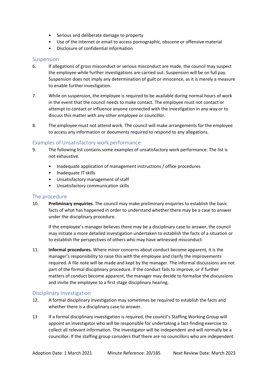- Serious and deliberate damage to property
- Use of the internet or email to access pornographic, obscene or offensive material
- Disclosure of confidential information

#### Suspension

- 6. If allegations of gross misconduct or serious misconduct are made, the council may suspect the employee while further investigations are carried out. Suspension will be on full pay. Suspension does not imply any determination of guilt or innocence, as it is merely a measure to enable further investigation.
- 7. While on suspension, the employee is required to be available during normal hours of work in the event that the council needs to make contact. The employee must not contact or attempt to contact or influence anyone connected with the investigation in any way or to discuss this matter with any other employee or councillor.
- 8. The employee must not attend work. The council will make arrangements for the employee to access any information or documents required to respond to any allegations.

#### Examples of Unsatisfactory work performance

- 9. The following list contains some examples of unsatisfactory work performance: The list is not exhaustive.
	- Inadequate application of management instructions / office procedures
	- Inadequate IT skills
	- Unsatisfactory management of staff
	- Unsatisfactory communication skills

#### The procedure

10. **Preliminary enquiries**. The council may make preliminary enquiries to establish the basic facts of what has happened in order to understand whether there may be a case to answer under the disciplinary procedure.

If the employee's manager believes there may be a disciplinary case to answer, the council may initiate a more detailed investigation undertaken to establish the facts of a situation or to establish the perspectives of others who may have witnessed misconduct.

11. **Informal procedures.** Where minor concerns about conduct become apparent, it is the manager's responsibility to raise this with the employee and clarify the improvements required. A file note will be made and kept by the manager. The informal discussions are not part of the formal disciplinary procedure. If the conduct fails to improve, or if further matters of conduct become apparent, the manager may decide to formalise the discussions and invite the employee to a first stage disciplinary hearing.

#### Disciplinary Investigation

- 12. A formal disciplinary investigation may sometimes be required to establish the facts and whether there is a disciplinary case to answer.
- 13 If a formal disciplinary investigation is required, the council's Staffing Working Group will appoint an investigator who will be responsible for undertaking a fact-finding exercise to collect all relevant information. The investigator will be independent and will normally be a councillor. If the staffing group considers that there are no councillors who are independent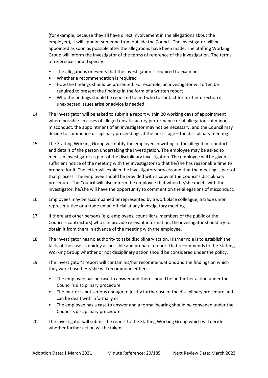(for example, because they all have direct involvement in the allegations about the employee), it will appoint someone from outside the Council. The investigator will be appointed as soon as possible after the allegations have been made. The Staffing Working Group will inform the Investigator of the terms of reference of the investigation. The terms of reference should specify:

- The allegations or events that the investigation is required to examine
- Whether a recommendation is required
- How the findings should be presented. For example, an investigator will often be required to present the findings in the form of a written report
- Who the findings should be reported to and who to contact for further direction if unexpected issues arise or advice is needed.
- 14. The investigator will be asked to submit a report within 20 working days of appointment where possible. In cases of alleged unsatisfactory performance or of allegations of minor misconduct, the appointment of an investigator may not be necessary, and the Council may decide to commence disciplinary proceedings at the next stage – the disciplinary meeting.
- 15. The Staffing Working Group will notify the employee in writing of the alleged misconduct and details of the person undertaking the investigation. The employee may be asked to meet an investigator as part of the disciplinary investigation. The employee will be given sufficient notice of the meeting with the investigator so that he/she has reasonable time to prepare for it. The letter will explain the investigatory process and that the meeting is part of that process. The employee should be provided with a copy of the Council's disciplinary procedure. The Council will also inform the employee that when he/she meets with the investigator, he/she will have the opportunity to comment on the allegations of misconduct.
- 16. Employees may be accompanied or represented by a workplace colleague, a trade union representative or a trade union official at any investigatory meeting.
- 17. If there are other persons (e.g. employees, councillors, members of the public or the Council's contractors) who can provide relevant information, the investigator should try to obtain it from them in advance of the meeting with the employee.
- 18. The investigator has no authority to take disciplinary action. His/her role is to establish the facts of the case as quickly as possible and prepare a report that recommends to the Staffing Working Group whether or not disciplinary action should be considered under the policy.
- 19. The investigator's report will contain his/her recommendations and the findings on which they were based. He/she will recommend either:
	- The employee has no case to answer and there should be no further action under the Council's disciplinary procedure
	- The matter is not serious enough to justify further use of the disciplinary procedure and can be dealt with informally or
	- The employee has a case to answer and a formal hearing should be convened under the Council's disciplinary procedure.
- 20. The investigator will submit the report to the Staffing Working Group which will decide whether further action will be taken.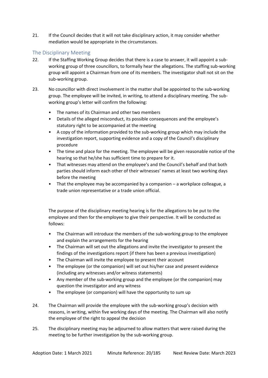21. If the Council decides that it will not take disciplinary action, it may consider whether mediation would be appropriate in the circumstances.

# The Disciplinary Meeting

- 22. If the Staffing Working Group decides that there is a case to answer, it will appoint a subworking group of three councillors, to formally hear the allegations. The staffing sub-working group will appoint a Chairman from one of its members. The investigator shall not sit on the sub-working group.
- 23. No councillor with direct involvement in the matter shall be appointed to the sub-working group. The employee will be invited, in writing, to attend a disciplinary meeting. The subworking group's letter will confirm the following:
	- The names of its Chairman and other two members
	- Details of the alleged misconduct, its possible consequences and the employee's statutory right to be accompanied at the meeting
	- A copy of the information provided to the sub-working group which may include the investigation report, supporting evidence and a copy of the Council's disciplinary procedure
	- The time and place for the meeting. The employee will be given reasonable notice of the hearing so that he/she has sufficient time to prepare for it.
	- That witnesses may attend on the employee's and the Council's behalf and that both parties should inform each other of their witnesses' names at least two working days before the meeting
	- That the employee may be accompanied by a companion a workplace colleague, a trade union representative or a trade union official.

The purpose of the disciplinary meeting hearing is for the allegations to be put to the employee and then for the employee to give their perspective. It will be conducted as follows:

- The Chairman will introduce the members of the sub-working group to the employee and explain the arrangements for the hearing
- The Chairman will set out the allegations and invite the investigator to present the findings of the investigations report (if there has been a previous investigation)
- The Chairman will invite the employee to present their account
- The employee (or the companion) will set out his/her case and present evidence (including any witnesses and/or witness statements)
- Any member of the sub-working group and the employee (or the companion) may question the investigator and any witness
- The employee (or companion) will have the opportunity to sum up
- 24. The Chairman will provide the employee with the sub-working group's decision with reasons, in writing, within five working days of the meeting. The Chairman will also notify the employee of the right to appeal the decision
- 25. The disciplinary meeting may be adjourned to allow matters that were raised during the meeting to be further investigation by the sub-working group.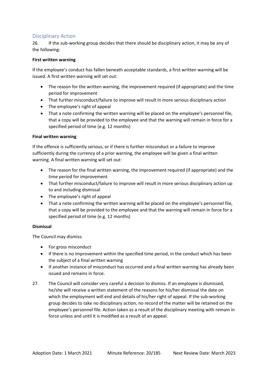# Disciplinary Action

26. If the sub-working group decides that there should be disciplinary action, it may be any of the following:

#### **First written warning**

If the employee's conduct has fallen beneath acceptable standards, a first written warning will be issued. A first written warning will set out:

- The reason for the written warning, the improvement required (if appropriate) and the time period for improvement
- That further misconduct/failure to improve will result in more serious disciplinary action
- The employee's right of appeal
- That a note confirming the written warning will be placed on the employee's personnel file, that a copy will be provided to the employee and that the warning will remain in force for a specified period of time (e.g. 12 months)

#### **Final written warning**

If the offence is sufficiently serious, or if there is further misconduct or a failure to improve sufficiently during the currency of a prior warning, the employee will be given a final written warning. A final written warning will set out:

- The reason for the final written warning, the improvement required (if appropriate) and the time period for improvement
- That further misconduct/failure to improve will result in more serious disciplinary action up to and including dismissal
- The employee's right of appeal
- That a note confirming the written warning will be placed on the employee's personnel file, that a copy will be provided to the employee and that the warning will remain in force for a specified period of time (e.g. 12 months)

#### **Dismissal**

The Council may dismiss:

- For gross misconduct
- If there is no improvement within the specified time period, in the conduct which has been the subject of a final written warning
- If another instance of misconduct has occurred and a final written warning has already been issued and remains in force.
- 27. The Council will consider very careful a decision to dismiss. If an employee is dismissed, he/she will receive a written statement of the reasons for his/her dismissal the date on which the employment will end and details of his/her right of appeal. If the sub-working group decides to take no disciplinary action, no record of the matter will be retained on the employee's personnel file. Action taken as a result of the disciplinary meeting with remain in force unless and until it is modified as a result of an appeal.